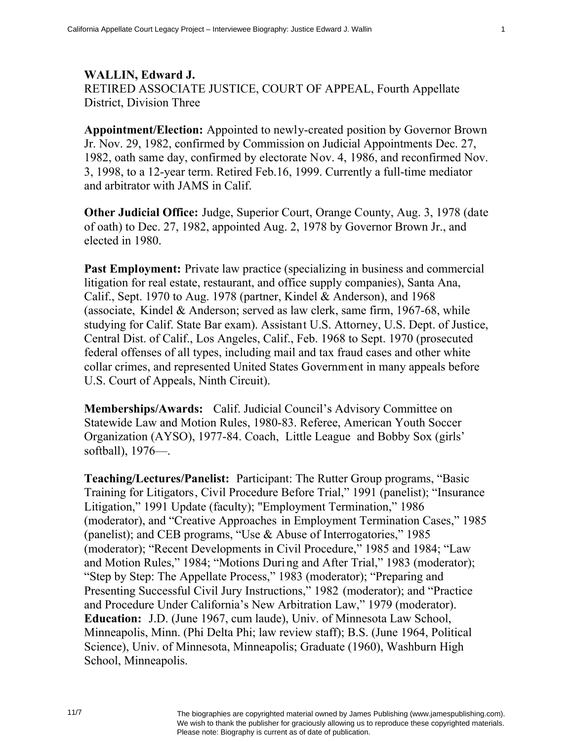**WALLIN, Edward J.**  RETIRED ASSOCIATE JUSTICE, COURT OF APPEAL, Fourth Appellate District, Division Three

**Appointment/Election:** Appointed to newly-created position by Governor Brown Jr. Nov. 29, 1982, confirmed by Commission on Judicial Appointments Dec. 27, 1982, oath same day, confirmed by electorate Nov. 4, 1986, and reconfirmed Nov. 3, 1998, to a 12-year term. Retired Feb.16, 1999. Currently a full-time mediator and arbitrator with JAMS in Calif.

**Other Judicial Office:** Judge, Superior Court, Orange County, Aug. 3, 1978 (date of oath) to Dec. 27, 1982, appointed Aug. 2, 1978 by Governor Brown Jr., and elected in 1980.

**Past Employment:** Private law practice (specializing in business and commercial litigation for real estate, restaurant, and office supply companies), Santa Ana, Calif., Sept. 1970 to Aug. 1978 (partner, Kindel & Anderson), and 1968 (associate, Kindel & Anderson; served as law clerk, same firm, 1967-68, while studying for Calif. State Bar exam). Assistant U.S. Attorney, U.S. Dept. of Justice, Central Dist. of Calif., Los Angeles, Calif., Feb. 1968 to Sept. 1970 (prosecuted federal offenses of all types, including mail and tax fraud cases and other white collar crimes, and represented United States Government in many appeals before U.S. Court of Appeals, Ninth Circuit).

**Memberships/Awards:** Calif. Judicial Council's Advisory Committee on Statewide Law and Motion Rules, 1980-83. Referee, American Youth Soccer Organization (AYSO), 1977-84. Coach, Little League and Bobby Sox (girls' softball), 1976—.

**Teaching/Lectures/Panelist:** Participant: The Rutter Group programs, "Basic Training for Litigators, Civil Procedure Before Trial," 1991 (panelist); "Insurance Litigation," 1991 Update (faculty); "Employment Termination," 1986 (moderator), and "Creative Approaches in Employment Termination Cases," 1985 (panelist); and CEB programs, "Use & Abuse of Interrogatories," 1985 (moderator); "Recent Developments in Civil Procedure," 1985 and 1984; "Law and Motion Rules," 1984; "Motions During and After Trial," 1983 (moderator); "Step by Step: The Appellate Process," 1983 (moderator); "Preparing and Presenting Successful Civil Jury Instructions," 1982 (moderator); and "Practice and Procedure Under California's New Arbitration Law," 1979 (moderator). **Education:** J.D. (June 1967, cum laude), Univ. of Minnesota Law School, Minneapolis, Minn. (Phi Delta Phi; law review staff); B.S. (June 1964, Political Science), Univ. of Minnesota, Minneapolis; Graduate (1960), Washburn High School, Minneapolis.